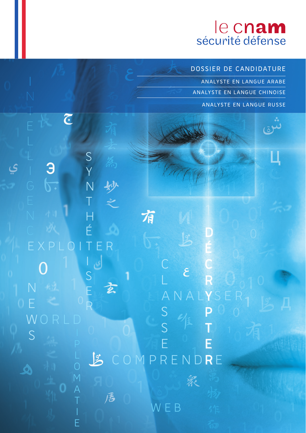# le cnam

**DOSSIER DE CANDIDATURE**

**ANALYSTE EN LANGUE ARABE ANALYSTE EN LANGUE CHINOISE ANALYSTE EN LANGUE RUSSE**

S ي Э Y 12 N T H 有 É **D** T C **C**  $\mathcal{E}_{\mathcal{E}}$ S L **R** N E 玄 ANALYSER **Y** E R S **P** W S **T** S E **E** COMPRENDRE  $\mathcal{L}$ 衆 A 居 WEB E

 $\overline{\mathbb{C}}$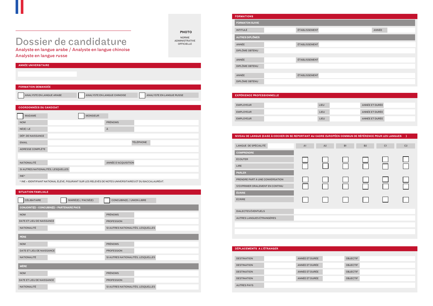## Dossier de candidature<br>Analyste en langue arabe / Analyste en langue chinoise

Analyste en langue russe

PHOTO

NORME ADMINISTRATIVE OFFICIELLE

| ANNÉE |
|-------|
|       |
|       |
|       |
|       |
|       |
|       |
|       |
|       |

| <b>ANNÉE ET DURÉE</b> |  |
|-----------------------|--|
| ANNÉE ET DURÉE        |  |
| <b>ANNÉE ET DURÉE</b> |  |
|                       |  |

| <b>EXPERIENCE PROFESSIONNELLE</b> |  |      |                       |
|-----------------------------------|--|------|-----------------------|
|                                   |  |      |                       |
| <b>EMPLOYEUR</b>                  |  | LIEU | ANNÉE ET DURÉE        |
| <b>EMPLOYEUR</b>                  |  | LIEU | ANNÉE ET DURÉE        |
| <b>EMPLOYEUR</b>                  |  | LIEU | <b>ANNÉE ET DURÉE</b> |
|                                   |  |      |                       |

| <b>ANNÉE UNIVERSITAIRE</b>                                                                               |
|----------------------------------------------------------------------------------------------------------|
|                                                                                                          |
|                                                                                                          |
| <b>FORMATION DEMANDÉE</b>                                                                                |
| ANALYSTE EN LANGUE ARABE<br>ANALYSTE EN LANGUE CHINOISE<br><b>ANALYSTE EN LANGUE RUSSE</b>               |
| <b>COORDONNÉES DU CANDIDAT</b>                                                                           |
| <b>MONSIEUR</b><br><b>MADAME</b>                                                                         |
| <b>PRÉNOMS</b><br><b>NOM</b>                                                                             |
| $NÉ(E)$ LE<br>À                                                                                          |
| DÉP. DE NAISSANCE                                                                                        |
| <b>TÉLÉPHONE</b><br><b>EMAIL</b>                                                                         |
| <b>ADRESSE COMPLÈTE</b>                                                                                  |
|                                                                                                          |
| ANNÉE D'ACQUISITION<br>NATIONALITÉ                                                                       |
| SI AUTRES NATIONALITÉS, LESQUELLES                                                                       |
| INE*                                                                                                     |
| * INE = IDENTIFIANT NATIONAL ÉLÈVE, FIGURANT SUR LES RELEVÉS DE NOTES UNIVERSITAIRES ET DU BACCALAURÉAT. |

### SITUATION FAMILIALE

FORMATIONS INTITULÉ ANNÉE ÉTABLISSEMENT DIPLÔME OBTENU AUTRES DIPLÔMES ANNÉE ÉTABLISSEMENT DIPLÔME OBTENU ANNÉE ÉTABLISSEMENT DIPLÔME OBTENU ÉTABLISSEMENT FORMATON SUIVIE

| CÉLIBATAIRE<br>MARIÉ(E) / PACSÉ(E)          | CONCUBIN(E) / UNION LIBRE          |
|---------------------------------------------|------------------------------------|
| CONJOINT(E) - CONCUBIN(E) - PARTENAIRE PACS |                                    |
| <b>NOM</b>                                  | <b>PRÉNOMS</b>                     |
| DATE ET LIEU DE NAISSANCE                   | <b>PROFESSION</b>                  |
| <b>NATIONALITÉ</b>                          | SI AUTRES NATIONALITÉS, LESQUELLES |
| <b>PÈRE</b>                                 |                                    |
| <b>NOM</b>                                  | <b>PRÉNOMS</b>                     |
| DATE ET LIEU DE NAISSANCE                   | <b>PROFESSION</b>                  |
| <b>NATIONALITÉ</b>                          | SI AUTRES NATIONALITÉS, LESQUELLES |
| <b>MÈRE</b>                                 |                                    |
| <b>NOM</b>                                  | <b>PRÉNOMS</b>                     |
| DATE ET LIEU DE NAISSANCE                   | <b>PROFESSION</b>                  |
| <b>NATIONALITÉ</b>                          | SI AUTRES NATIONALITÉS, LESQUELLES |

| NIVEAU DE LANGUE (CASE À COCHER EN SE REPORTANT AU CADRE EUROPÉEN COMMUN DE RÉFÉRENCE POUR LES LANGUES |                |    |                |           |    | - )            |
|--------------------------------------------------------------------------------------------------------|----------------|----|----------------|-----------|----|----------------|
| LANGUE DE SPÉCIALITÉ                                                                                   | A <sub>1</sub> | A2 | B <sub>1</sub> | <b>B2</b> | C1 | C <sub>2</sub> |
| <b>COMPRENDRE</b>                                                                                      |                |    |                |           |    |                |
| <b>ÉCOUTER</b>                                                                                         |                |    |                |           |    |                |
| LIRE                                                                                                   |                |    |                |           |    |                |
| <b>PARLER</b>                                                                                          |                |    |                |           |    |                |
| PRENDRE PART À UNE CONVERSATION                                                                        |                |    |                |           |    |                |
| S'EXPRIMER ORALEMENT EN CONTINU                                                                        |                |    |                |           |    |                |
| <b>ÉCRIRE</b>                                                                                          |                |    |                |           |    |                |
| <b>ÉCRIRE</b>                                                                                          |                |    |                |           |    |                |
|                                                                                                        |                |    |                |           |    |                |
| <b>DIALECTES ÉVENTUELS</b>                                                                             |                |    |                |           |    |                |
| AUTRES LANGUES ÉTRANGÈRES                                                                              |                |    |                |           |    |                |
|                                                                                                        |                |    |                |           |    |                |
|                                                                                                        |                |    |                |           |    |                |
|                                                                                                        |                |    |                |           |    |                |

| DÉPLACEMENTS A L'ÉTRANGER |  |
|---------------------------|--|
|                           |  |

| DÉPLACEMENTS A L'ÉTRANGER |                |                 |
|---------------------------|----------------|-----------------|
|                           |                |                 |
| <b>DESTINATION</b>        | ANNÉE ET DURÉE | <b>OBJECTIF</b> |
| <b>DESTINATION</b>        | ANNÉE ET DURÉE | <b>OBJECTIF</b> |
|                           |                |                 |
| <b>DESTINATION</b>        | ANNÉE ET DURÉE | <b>OBJECTIF</b> |
| <b>DESTINATION</b>        | ANNÉE ET DURÉE | <b>OBJECTIF</b> |
|                           |                |                 |
| <b>AUTRES PAYS</b>        |                |                 |